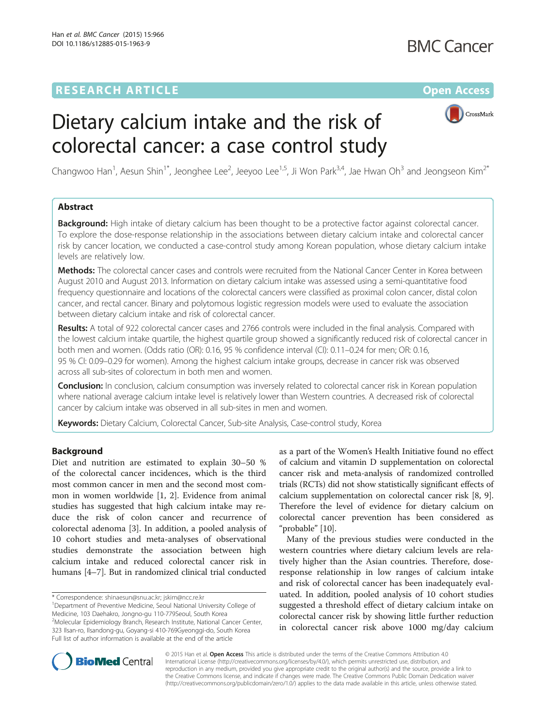# **RESEARCH ARTICLE Example 2014 12:30 The Contract of Contract ACCESS**



# Dietary calcium intake and the risk of colorectal cancer: a case control study

Changwoo Han<sup>1</sup>, Aesun Shin<sup>1\*</sup>, Jeonghee Lee<sup>2</sup>, Jeeyoo Lee<sup>1,5</sup>, Ji Won Park<sup>3,4</sup>, Jae Hwan Oh<sup>3</sup> and Jeongseon Kim<sup>2\*</sup>

# Abstract

Background: High intake of dietary calcium has been thought to be a protective factor against colorectal cancer. To explore the dose-response relationship in the associations between dietary calcium intake and colorectal cancer risk by cancer location, we conducted a case-control study among Korean population, whose dietary calcium intake levels are relatively low.

Methods: The colorectal cancer cases and controls were recruited from the National Cancer Center in Korea between August 2010 and August 2013. Information on dietary calcium intake was assessed using a semi-quantitative food frequency questionnaire and locations of the colorectal cancers were classified as proximal colon cancer, distal colon cancer, and rectal cancer. Binary and polytomous logistic regression models were used to evaluate the association between dietary calcium intake and risk of colorectal cancer.

Results: A total of 922 colorectal cancer cases and 2766 controls were included in the final analysis. Compared with the lowest calcium intake quartile, the highest quartile group showed a significantly reduced risk of colorectal cancer in both men and women. (Odds ratio (OR): 0.16, 95 % confidence interval (CI): 0.11–0.24 for men; OR: 0.16, 95 % CI: 0.09–0.29 for women). Among the highest calcium intake groups, decrease in cancer risk was observed across all sub-sites of colorectum in both men and women.

Conclusion: In conclusion, calcium consumption was inversely related to colorectal cancer risk in Korean population where national average calcium intake level is relatively lower than Western countries. A decreased risk of colorectal cancer by calcium intake was observed in all sub-sites in men and women.

Keywords: Dietary Calcium, Colorectal Cancer, Sub-site Analysis, Case-control study, Korea

### Background

Diet and nutrition are estimated to explain 30–50 % of the colorectal cancer incidences, which is the third most common cancer in men and the second most common in women worldwide [\[1](#page-9-0), [2](#page-9-0)]. Evidence from animal studies has suggested that high calcium intake may reduce the risk of colon cancer and recurrence of colorectal adenoma [[3\]](#page-9-0). In addition, a pooled analysis of 10 cohort studies and meta-analyses of observational studies demonstrate the association between high calcium intake and reduced colorectal cancer risk in humans [[4](#page-9-0)–[7](#page-9-0)]. But in randomized clinical trial conducted

as a part of the Women's Health Initiative found no effect of calcium and vitamin D supplementation on colorectal cancer risk and meta-analysis of randomized controlled trials (RCTs) did not show statistically significant effects of calcium supplementation on colorectal cancer risk [\[8, 9](#page-9-0)]. Therefore the level of evidence for dietary calcium on colorectal cancer prevention has been considered as "probable" [\[10\]](#page-9-0).

Many of the previous studies were conducted in the western countries where dietary calcium levels are relatively higher than the Asian countries. Therefore, doseresponse relationship in low ranges of calcium intake and risk of colorectal cancer has been inadequately evaluated. In addition, pooled analysis of 10 cohort studies suggested a threshold effect of dietary calcium intake on colorectal cancer risk by showing little further reduction in colorectal cancer risk above 1000 mg/day calcium



© 2015 Han et al. Open Access This article is distributed under the terms of the Creative Commons Attribution 4.0 International License [\(http://creativecommons.org/licenses/by/4.0/](http://creativecommons.org/licenses/by/4.0/)), which permits unrestricted use, distribution, and reproduction in any medium, provided you give appropriate credit to the original author(s) and the source, provide a link to the Creative Commons license, and indicate if changes were made. The Creative Commons Public Domain Dedication waiver [\(http://creativecommons.org/publicdomain/zero/1.0/](http://creativecommons.org/publicdomain/zero/1.0/)) applies to the data made available in this article, unless otherwise stated.

<sup>\*</sup> Correspondence: [shinaesun@snu.ac.kr;](mailto:shinaesun@snu.ac.kr) [jskim@ncc.re.kr](mailto:jskim@ncc.re.kr) <sup>1</sup>

<sup>&</sup>lt;sup>1</sup>Department of Preventive Medicine, Seoul National University College of Medicine, 103 Daehakro, Jongno-gu 110-779Seoul, South Korea 2 Molecular Epidemiology Branch, Research Institute, National Cancer Center, 323 Ilsan-ro, Ilsandong-gu, Goyang-si 410-769Gyeonggi-do, South Korea Full list of author information is available at the end of the article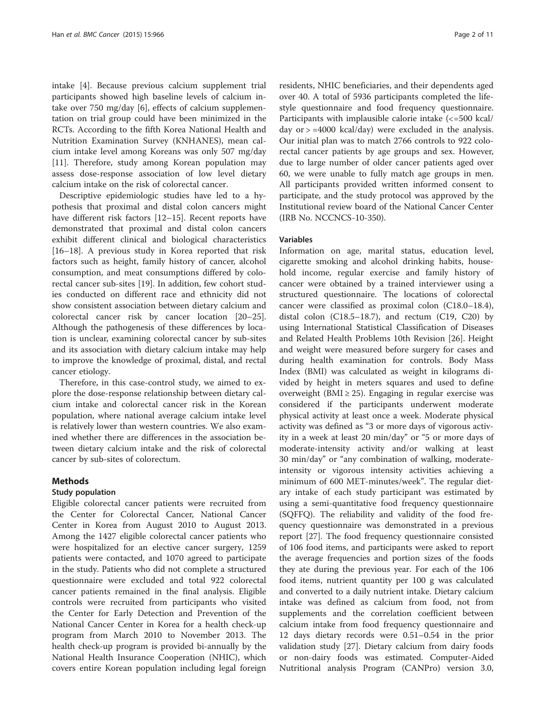intake [\[4](#page-9-0)]. Because previous calcium supplement trial participants showed high baseline levels of calcium intake over 750 mg/day [[6\]](#page-9-0), effects of calcium supplementation on trial group could have been minimized in the RCTs. According to the fifth Korea National Health and Nutrition Examination Survey (KNHANES), mean calcium intake level among Koreans was only 507 mg/day [[11\]](#page-9-0). Therefore, study among Korean population may assess dose-response association of low level dietary calcium intake on the risk of colorectal cancer.

Descriptive epidemiologic studies have led to a hypothesis that proximal and distal colon cancers might have different risk factors [[12](#page-9-0)–[15](#page-9-0)]. Recent reports have demonstrated that proximal and distal colon cancers exhibit different clinical and biological characteristics [[16](#page-9-0)–[18](#page-9-0)]. A previous study in Korea reported that risk factors such as height, family history of cancer, alcohol consumption, and meat consumptions differed by colorectal cancer sub-sites [[19\]](#page-9-0). In addition, few cohort studies conducted on different race and ethnicity did not show consistent association between dietary calcium and colorectal cancer risk by cancer location [[20](#page-9-0)–[25](#page-9-0)]. Although the pathogenesis of these differences by location is unclear, examining colorectal cancer by sub-sites and its association with dietary calcium intake may help to improve the knowledge of proximal, distal, and rectal cancer etiology.

Therefore, in this case-control study, we aimed to explore the dose-response relationship between dietary calcium intake and colorectal cancer risk in the Korean population, where national average calcium intake level is relatively lower than western countries. We also examined whether there are differences in the association between dietary calcium intake and the risk of colorectal cancer by sub-sites of colorectum.

#### Methods

### Study population

Eligible colorectal cancer patients were recruited from the Center for Colorectal Cancer, National Cancer Center in Korea from August 2010 to August 2013. Among the 1427 eligible colorectal cancer patients who were hospitalized for an elective cancer surgery, 1259 patients were contacted, and 1070 agreed to participate in the study. Patients who did not complete a structured questionnaire were excluded and total 922 colorectal cancer patients remained in the final analysis. Eligible controls were recruited from participants who visited the Center for Early Detection and Prevention of the National Cancer Center in Korea for a health check-up program from March 2010 to November 2013. The health check-up program is provided bi-annually by the National Health Insurance Cooperation (NHIC), which covers entire Korean population including legal foreign residents, NHIC beneficiaries, and their dependents aged over 40. A total of 5936 participants completed the lifestyle questionnaire and food frequency questionnaire. Participants with implausible calorie intake (<=500 kcal/ day  $or > =4000$  kcal/day) were excluded in the analysis. Our initial plan was to match 2766 controls to 922 colorectal cancer patients by age groups and sex. However, due to large number of older cancer patients aged over 60, we were unable to fully match age groups in men. All participants provided written informed consent to participate, and the study protocol was approved by the Institutional review board of the National Cancer Center (IRB No. NCCNCS-10-350).

#### Variables

Information on age, marital status, education level, cigarette smoking and alcohol drinking habits, household income, regular exercise and family history of cancer were obtained by a trained interviewer using a structured questionnaire. The locations of colorectal cancer were classified as proximal colon (C18.0–18.4), distal colon  $(C18.5-18.7)$ , and rectum  $(C19, C20)$  by using International Statistical Classification of Diseases and Related Health Problems 10th Revision [\[26](#page-9-0)]. Height and weight were measured before surgery for cases and during health examination for controls. Body Mass Index (BMI) was calculated as weight in kilograms divided by height in meters squares and used to define overweight (BMI  $\geq$  25). Engaging in regular exercise was considered if the participants underwent moderate physical activity at least once a week. Moderate physical activity was defined as "3 or more days of vigorous activity in a week at least 20 min/day" or "5 or more days of moderate-intensity activity and/or walking at least 30 min/day" or "any combination of walking, moderateintensity or vigorous intensity activities achieving a minimum of 600 MET-minutes/week". The regular dietary intake of each study participant was estimated by using a semi-quantitative food frequency questionnaire (SQFFQ). The reliability and validity of the food frequency questionnaire was demonstrated in a previous report [[27\]](#page-9-0). The food frequency questionnaire consisted of 106 food items, and participants were asked to report the average frequencies and portion sizes of the foods they ate during the previous year. For each of the 106 food items, nutrient quantity per 100 g was calculated and converted to a daily nutrient intake. Dietary calcium intake was defined as calcium from food, not from supplements and the correlation coefficient between calcium intake from food frequency questionnaire and 12 days dietary records were 0.51–0.54 in the prior validation study [\[27](#page-9-0)]. Dietary calcium from dairy foods or non-dairy foods was estimated. Computer-Aided Nutritional analysis Program (CANPro) version 3.0,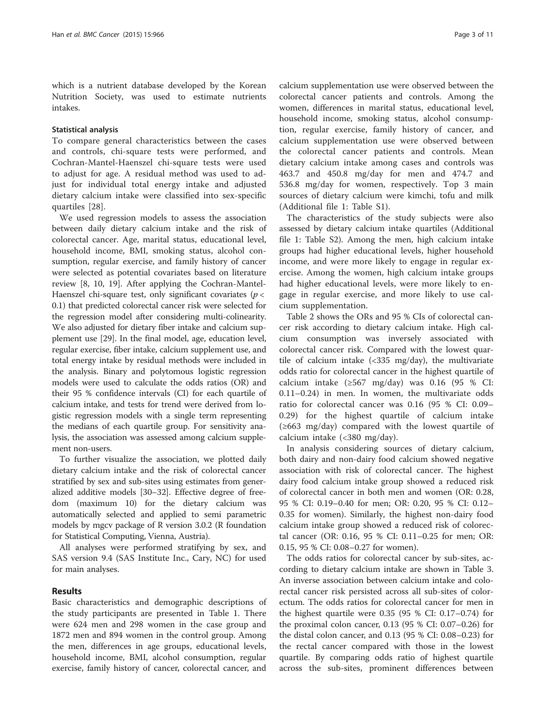which is a nutrient database developed by the Korean Nutrition Society, was used to estimate nutrients intakes.

#### Statistical analysis

To compare general characteristics between the cases and controls, chi-square tests were performed, and Cochran-Mantel-Haenszel chi-square tests were used to adjust for age. A residual method was used to adjust for individual total energy intake and adjusted dietary calcium intake were classified into sex-specific quartiles [[28\]](#page-10-0).

We used regression models to assess the association between daily dietary calcium intake and the risk of colorectal cancer. Age, marital status, educational level, household income, BMI, smoking status, alcohol consumption, regular exercise, and family history of cancer were selected as potential covariates based on literature review [[8, 10, 19](#page-9-0)]. After applying the Cochran-Mantel-Haenszel chi-square test, only significant covariates ( $p <$ 0.1) that predicted colorectal cancer risk were selected for the regression model after considering multi-colinearity. We also adjusted for dietary fiber intake and calcium supplement use [\[29](#page-10-0)]. In the final model, age, education level, regular exercise, fiber intake, calcium supplement use, and total energy intake by residual methods were included in the analysis. Binary and polytomous logistic regression models were used to calculate the odds ratios (OR) and their 95 % confidence intervals (CI) for each quartile of calcium intake, and tests for trend were derived from logistic regression models with a single term representing the medians of each quartile group. For sensitivity analysis, the association was assessed among calcium supplement non-users.

To further visualize the association, we plotted daily dietary calcium intake and the risk of colorectal cancer stratified by sex and sub-sites using estimates from generalized additive models [\[30](#page-10-0)–[32](#page-10-0)]. Effective degree of freedom (maximum 10) for the dietary calcium was automatically selected and applied to semi parametric models by mgcv package of R version 3.0.2 (R foundation for Statistical Computing, Vienna, Austria).

All analyses were performed stratifying by sex, and SAS version 9.4 (SAS Institute Inc., Cary, NC) for used for main analyses.

#### Results

Basic characteristics and demographic descriptions of the study participants are presented in Table [1](#page-3-0). There were 624 men and 298 women in the case group and 1872 men and 894 women in the control group. Among the men, differences in age groups, educational levels, household income, BMI, alcohol consumption, regular exercise, family history of cancer, colorectal cancer, and

calcium supplementation use were observed between the colorectal cancer patients and controls. Among the women, differences in marital status, educational level, household income, smoking status, alcohol consumption, regular exercise, family history of cancer, and calcium supplementation use were observed between the colorectal cancer patients and controls. Mean dietary calcium intake among cases and controls was 463.7 and 450.8 mg/day for men and 474.7 and 536.8 mg/day for women, respectively. Top 3 main sources of dietary calcium were kimchi, tofu and milk (Additional file [1:](#page-9-0) Table S1).

The characteristics of the study subjects were also assessed by dietary calcium intake quartiles (Additional file [1](#page-9-0): Table S2). Among the men, high calcium intake groups had higher educational levels, higher household income, and were more likely to engage in regular exercise. Among the women, high calcium intake groups had higher educational levels, were more likely to engage in regular exercise, and more likely to use calcium supplementation.

Table [2](#page-5-0) shows the ORs and 95 % CIs of colorectal cancer risk according to dietary calcium intake. High calcium consumption was inversely associated with colorectal cancer risk. Compared with the lowest quartile of calcium intake (<335 mg/day), the multivariate odds ratio for colorectal cancer in the highest quartile of calcium intake ( $\geq 567$  mg/day) was 0.16 (95 % CI: 0.11–0.24) in men. In women, the multivariate odds ratio for colorectal cancer was 0.16 (95 % CI: 0.09– 0.29) for the highest quartile of calcium intake (≥663 mg/day) compared with the lowest quartile of calcium intake (<380 mg/day).

In analysis considering sources of dietary calcium, both dairy and non-dairy food calcium showed negative association with risk of colorectal cancer. The highest dairy food calcium intake group showed a reduced risk of colorectal cancer in both men and women (OR: 0.28, 95 % CI: 0.19–0.40 for men; OR: 0.20, 95 % CI: 0.12– 0.35 for women). Similarly, the highest non-dairy food calcium intake group showed a reduced risk of colorectal cancer (OR: 0.16, 95 % CI: 0.11–0.25 for men; OR: 0.15, 95 % CI: 0.08–0.27 for women).

The odds ratios for colorectal cancer by sub-sites, according to dietary calcium intake are shown in Table [3](#page-6-0). An inverse association between calcium intake and colorectal cancer risk persisted across all sub-sites of colorectum. The odds ratios for colorectal cancer for men in the highest quartile were 0.35 (95 % CI: 0.17–0.74) for the proximal colon cancer, 0.13 (95 % CI: 0.07–0.26) for the distal colon cancer, and 0.13 (95 % CI: 0.08–0.23) for the rectal cancer compared with those in the lowest quartile. By comparing odds ratio of highest quartile across the sub-sites, prominent differences between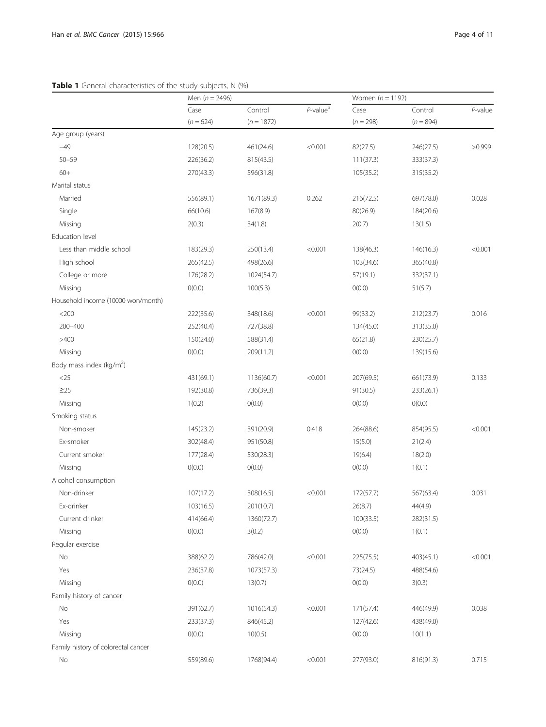## <span id="page-3-0"></span>Table 1 General characteristics of the study subjects, N (%)

|                                      | Men $(n = 2496)$ |              |                         | Women $(n = 1192)$ |             |            |
|--------------------------------------|------------------|--------------|-------------------------|--------------------|-------------|------------|
|                                      | Case             | Control      | $P$ -value <sup>a</sup> | Case               | Control     | $P$ -value |
|                                      | $(n = 624)$      | $(n = 1872)$ |                         | $(n = 298)$        | $(n = 894)$ |            |
| Age group (years)                    |                  |              |                         |                    |             |            |
| $-49$                                | 128(20.5)        | 461(24.6)    | < 0.001                 | 82(27.5)           | 246(27.5)   | >0.999     |
| $50 - 59$                            | 226(36.2)        | 815(43.5)    |                         | 111(37.3)          | 333(37.3)   |            |
| $60+$                                | 270(43.3)        | 596(31.8)    |                         | 105(35.2)          | 315(35.2)   |            |
| Marital status                       |                  |              |                         |                    |             |            |
| Married                              | 556(89.1)        | 1671(89.3)   | 0.262                   | 216(72.5)          | 697(78.0)   | 0.028      |
| Single                               | 66(10.6)         | 167(8.9)     |                         | 80(26.9)           | 184(20.6)   |            |
| Missing                              | 2(0.3)           | 34(1.8)      |                         | 2(0.7)             | 13(1.5)     |            |
| Education level                      |                  |              |                         |                    |             |            |
| Less than middle school              | 183(29.3)        | 250(13.4)    | < 0.001                 | 138(46.3)          | 146(16.3)   | < 0.001    |
| High school                          | 265(42.5)        | 498(26.6)    |                         | 103(34.6)          | 365(40.8)   |            |
| College or more                      | 176(28.2)        | 1024(54.7)   |                         | 57(19.1)           | 332(37.1)   |            |
| Missing                              | O(0.0)           | 100(5.3)     |                         | O(0.0)             | 51(5.7)     |            |
| Household income (10000 won/month)   |                  |              |                         |                    |             |            |
| $<$ 200                              | 222(35.6)        | 348(18.6)    | < 0.001                 | 99(33.2)           | 212(23.7)   | 0.016      |
| 200-400                              | 252(40.4)        | 727(38.8)    |                         | 134(45.0)          | 313(35.0)   |            |
| >400                                 | 150(24.0)        | 588(31.4)    |                         | 65(21.8)           | 230(25.7)   |            |
| Missing                              | O(0.0)           | 209(11.2)    |                         | O(0.0)             | 139(15.6)   |            |
| Body mass index (kg/m <sup>2</sup> ) |                  |              |                         |                    |             |            |
| $<$ 25                               | 431(69.1)        | 1136(60.7)   | < 0.001                 | 207(69.5)          | 661(73.9)   | 0.133      |
| $\geq$ 25                            | 192(30.8)        | 736(39.3)    |                         | 91(30.5)           | 233(26.1)   |            |
| Missing                              | 1(0.2)           | O(0.0)       |                         | O(0.0)             | O(0.0)      |            |
| Smoking status                       |                  |              |                         |                    |             |            |
| Non-smoker                           | 145(23.2)        | 391(20.9)    | 0.418                   | 264(88.6)          | 854(95.5)   | < 0.001    |
| Ex-smoker                            | 302(48.4)        | 951(50.8)    |                         | 15(5.0)            | 21(2.4)     |            |
| Current smoker                       | 177(28.4)        | 530(28.3)    |                         | 19(6.4)            | 18(2.0)     |            |
| Missing                              | O(0.0)           | O(0.0)       |                         | O(0.0)             | 1(0.1)      |            |
| Alcohol consumption                  |                  |              |                         |                    |             |            |
| Non-drinker                          | 107(17.2)        | 308(16.5)    | < 0.001                 | 172(57.7)          | 567(63.4)   | 0.031      |
| Ex-drinker                           | 103(16.5)        | 201(10.7)    |                         | 26(8.7)            | 44(4.9)     |            |
| Current drinker                      | 414(66.4)        | 1360(72.7)   |                         | 100(33.5)          | 282(31.5)   |            |
| Missing                              | O(0.0)           | 3(0.2)       |                         | O(0.0)             | 1(0.1)      |            |
| Regular exercise                     |                  |              |                         |                    |             |            |
| No                                   | 388(62.2)        | 786(42.0)    | < 0.001                 | 225(75.5)          | 403(45.1)   | < 0.001    |
| Yes                                  | 236(37.8)        | 1073(57.3)   |                         | 73(24.5)           | 488(54.6)   |            |
| Missing                              | O(0.0)           | 13(0.7)      |                         | O(0.0)             | 3(0.3)      |            |
| Family history of cancer             |                  |              |                         |                    |             |            |
| No                                   | 391(62.7)        | 1016(54.3)   | < 0.001                 | 171(57.4)          | 446(49.9)   | 0.038      |
| Yes                                  | 233(37.3)        | 846(45.2)    |                         | 127(42.6)          | 438(49.0)   |            |
| Missing                              | O(0.0)           | 10(0.5)      |                         | O(0.0)             | 10(1.1)     |            |
| Family history of colorectal cancer  |                  |              |                         |                    |             |            |
| No                                   | 559(89.6)        | 1768(94.4)   | < 0.001                 | 277(93.0)          | 816(91.3)   | 0.715      |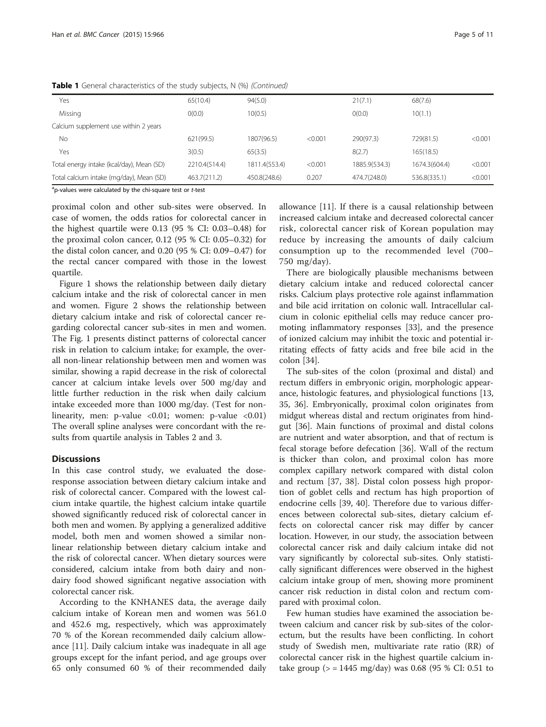| Yes                                       | 65(10.4)      | 94(5.0)       |         | 21(7.1)       | 68(7.6)       |         |
|-------------------------------------------|---------------|---------------|---------|---------------|---------------|---------|
| Missing                                   | O(0.0)        | 10(0.5)       |         | O(0.0)        | 10(1.1)       |         |
| Calcium supplement use within 2 years     |               |               |         |               |               |         |
| No                                        | 621(99.5)     | 1807(96.5)    | < 0.001 | 290(97.3)     | 729(81.5)     | < 0.001 |
| Yes                                       | 3(0.5)        | 65(3.5)       |         | 8(2.7)        | 165(18.5)     |         |
| Total energy intake (kcal/day), Mean (SD) | 2210.4(514.4) | 1811.4(553.4) | < 0.001 | 1885.9(534.3) | 1674.3(604.4) | < 0.001 |
| Total calcium intake (mg/day), Mean (SD)  | 463.7(211.2)  | 450.8(248.6)  | 0.207   | 474.7(248.0)  | 536.8(335.1)  | < 0.001 |

**Table 1** General characteristics of the study subjects, N (%) (Continued)

<sup>a</sup>p-values were calculated by the chi-square test or t-test

proximal colon and other sub-sites were observed. In case of women, the odds ratios for colorectal cancer in the highest quartile were 0.13 (95 % CI: 0.03–0.48) for the proximal colon cancer, 0.12 (95 % CI: 0.05–0.32) for the distal colon cancer, and 0.20 (95 % CI: 0.09–0.47) for the rectal cancer compared with those in the lowest quartile.

Figure [1](#page-7-0) shows the relationship between daily dietary calcium intake and the risk of colorectal cancer in men and women. Figure [2](#page-8-0) shows the relationship between dietary calcium intake and risk of colorectal cancer regarding colorectal cancer sub-sites in men and women. The Fig. [1](#page-7-0) presents distinct patterns of colorectal cancer risk in relation to calcium intake; for example, the overall non-linear relationship between men and women was similar, showing a rapid decrease in the risk of colorectal cancer at calcium intake levels over 500 mg/day and little further reduction in the risk when daily calcium intake exceeded more than 1000 mg/day. (Test for nonlinearity, men: p-value <0.01; women: p-value <0.01) The overall spline analyses were concordant with the results from quartile analysis in Tables [2](#page-5-0) and [3](#page-6-0).

#### **Discussions**

In this case control study, we evaluated the doseresponse association between dietary calcium intake and risk of colorectal cancer. Compared with the lowest calcium intake quartile, the highest calcium intake quartile showed significantly reduced risk of colorectal cancer in both men and women. By applying a generalized additive model, both men and women showed a similar nonlinear relationship between dietary calcium intake and the risk of colorectal cancer. When dietary sources were considered, calcium intake from both dairy and nondairy food showed significant negative association with colorectal cancer risk.

According to the KNHANES data, the average daily calcium intake of Korean men and women was 561.0 and 452.6 mg, respectively, which was approximately 70 % of the Korean recommended daily calcium allowance [[11](#page-9-0)]. Daily calcium intake was inadequate in all age groups except for the infant period, and age groups over 65 only consumed 60 % of their recommended daily

allowance [[11\]](#page-9-0). If there is a causal relationship between increased calcium intake and decreased colorectal cancer risk, colorectal cancer risk of Korean population may reduce by increasing the amounts of daily calcium consumption up to the recommended level (700– 750 mg/day).

There are biologically plausible mechanisms between dietary calcium intake and reduced colorectal cancer risks. Calcium plays protective role against inflammation and bile acid irritation on colonic wall. Intracellular calcium in colonic epithelial cells may reduce cancer promoting inflammatory responses [[33](#page-10-0)], and the presence of ionized calcium may inhibit the toxic and potential irritating effects of fatty acids and free bile acid in the colon [\[34](#page-10-0)].

The sub-sites of the colon (proximal and distal) and rectum differs in embryonic origin, morphologic appearance, histologic features, and physiological functions [[13](#page-9-0), [35, 36](#page-10-0)]. Embryonically, proximal colon originates from midgut whereas distal and rectum originates from hindgut [\[36](#page-10-0)]. Main functions of proximal and distal colons are nutrient and water absorption, and that of rectum is fecal storage before defecation [[36](#page-10-0)]. Wall of the rectum is thicker than colon, and proximal colon has more complex capillary network compared with distal colon and rectum [[37](#page-10-0), [38\]](#page-10-0). Distal colon possess high proportion of goblet cells and rectum has high proportion of endocrine cells [\[39, 40](#page-10-0)]. Therefore due to various differences between colorectal sub-sites, dietary calcium effects on colorectal cancer risk may differ by cancer location. However, in our study, the association between colorectal cancer risk and daily calcium intake did not vary significantly by colorectal sub-sites. Only statistically significant differences were observed in the highest calcium intake group of men, showing more prominent cancer risk reduction in distal colon and rectum compared with proximal colon.

Few human studies have examined the association between calcium and cancer risk by sub-sites of the colorectum, but the results have been conflicting. In cohort study of Swedish men, multivariate rate ratio (RR) of colorectal cancer risk in the highest quartile calcium intake group ( $>$  = 1445 mg/day) was 0.68 (95 % CI: 0.51 to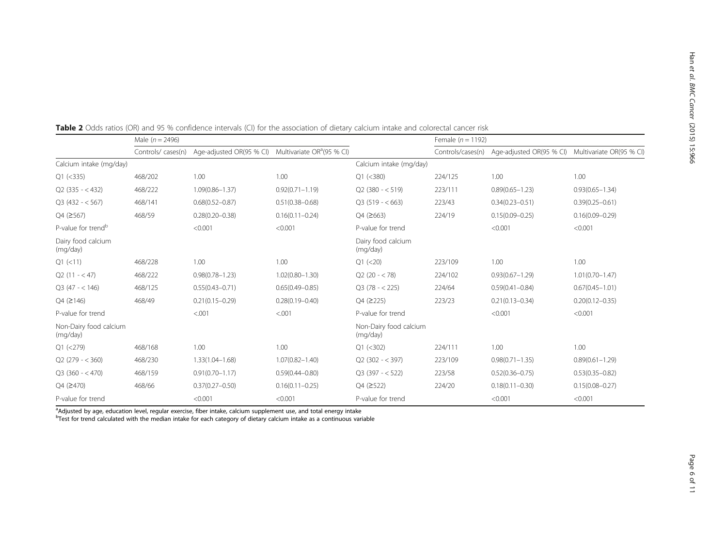|                                    | Male ( $n = 2496$ ) |                                                                 |                     |                                    | Female $(n = 1192)$ |                                            |                          |  |
|------------------------------------|---------------------|-----------------------------------------------------------------|---------------------|------------------------------------|---------------------|--------------------------------------------|--------------------------|--|
|                                    | Controls/cases(n)   | Age-adjusted OR(95 % CI) Multivariate OR <sup>a</sup> (95 % CI) |                     |                                    |                     | Controls/cases(n) Age-adjusted OR(95 % CI) | Multivariate OR(95 % CI) |  |
| Calcium intake (mg/day)            |                     |                                                                 |                     | Calcium intake (mg/day)            |                     |                                            |                          |  |
| $Q1$ (<335)                        | 468/202             | 1.00                                                            | 1.00                | $Q1$ (<380)                        | 224/125             | 1.00                                       | 1.00                     |  |
| $Q2$ (335 - < 432)                 | 468/222             | $1.09(0.86 - 1.37)$                                             | $0.92(0.71 - 1.19)$ | $Q2(380 - < 519)$                  | 223/111             | $0.89(0.65 - 1.23)$                        | $0.93(0.65 - 1.34)$      |  |
| $Q3(432 - 567)$                    | 468/141             | $0.68(0.52 - 0.87)$                                             | $0.51(0.38 - 0.68)$ | $O3(519 - < 663)$                  | 223/43              | $0.34(0.23 - 0.51)$                        | $0.39(0.25 - 0.61)$      |  |
| Q4 (≥567)                          | 468/59              | $0.28(0.20 - 0.38)$                                             | $0.16(0.11 - 0.24)$ | $Q4$ ( $\geq 663$ )                | 224/19              | $0.15(0.09 - 0.25)$                        | $0.16(0.09 - 0.29)$      |  |
| P-value for trend <sup>b</sup>     |                     | < 0.001                                                         | < 0.001             | P-value for trend                  |                     | < 0.001                                    | < 0.001                  |  |
| Dairy food calcium<br>(mg/day)     |                     |                                                                 |                     | Dairy food calcium<br>(mg/day)     |                     |                                            |                          |  |
| $Q1$ (<11)                         | 468/228             | 1.00                                                            | 1.00                | $Q1$ (<20)                         | 223/109             | 1.00                                       | 1.00                     |  |
| $Q2(11 - < 47)$                    | 468/222             | $0.98(0.78 - 1.23)$                                             | $1.02(0.80 - 1.30)$ | $Q2(20 - < 78)$                    | 224/102             | $0.93(0.67 - 1.29)$                        | $1.01(0.70 - 1.47)$      |  |
| $Q3(47 - < 146)$                   | 468/125             | $0.55(0.43 - 0.71)$                                             | $0.65(0.49 - 0.85)$ | $Q3(78 - 225)$                     | 224/64              | $0.59(0.41 - 0.84)$                        | $0.67(0.45 - 1.01)$      |  |
| Q4 (≥146)                          | 468/49              | $0.21(0.15 - 0.29)$                                             | $0.28(0.19 - 0.40)$ | $Q4$ ( $\geq$ 225)                 | 223/23              | $0.21(0.13 - 0.34)$                        | $0.20(0.12 - 0.35)$      |  |
| P-value for trend                  |                     | < 0.001                                                         | < 0.001             | P-value for trend                  |                     | < 0.001                                    | < 0.001                  |  |
| Non-Dairy food calcium<br>(mg/day) |                     |                                                                 |                     | Non-Dairy food calcium<br>(mg/day) |                     |                                            |                          |  |
| $Q1$ (<279)                        | 468/168             | 1.00                                                            | 1.00                | $Q1$ (<302)                        | 224/111             | 1.00                                       | 1.00                     |  |
| $Q2(279 - < 360)$                  | 468/230             | $1.33(1.04 - 1.68)$                                             | $1.07(0.82 - 1.40)$ | $Q2(302 - < 397)$                  | 223/109             | $0.98(0.71 - 1.35)$                        | $0.89(0.61 - 1.29)$      |  |
| $Q3(360 - < 470)$                  | 468/159             | $0.91(0.70 - 1.17)$                                             | $0.59(0.44 - 0.80)$ | $Q3(397 - 522)$                    | 223/58              | $0.52(0.36 - 0.75)$                        | $0.53(0.35 - 0.82)$      |  |
| Q4 (2470)                          | 468/66              | $0.37(0.27 - 0.50)$                                             | $0.16(0.11 - 0.25)$ | Q4 (≥522)                          | 224/20              | $0.18(0.11 - 0.30)$                        | $0.15(0.08 - 0.27)$      |  |
| P-value for trend                  |                     | < 0.001                                                         | < 0.001             | P-value for trend                  |                     | < 0.001                                    | < 0.001                  |  |

<span id="page-5-0"></span>Table 2 Odds ratios (OR) and 95 % confidence intervals (CI) for the association of dietary calcium intake and colorectal cancer risk

<sup>a</sup>Adjusted by age, education level, regular exercise, fiber intake, calcium supplement use, and total energy intake<br><sup>b</sup>Test for trend calculated with the median intake for each category of dietary calcium intake as a cont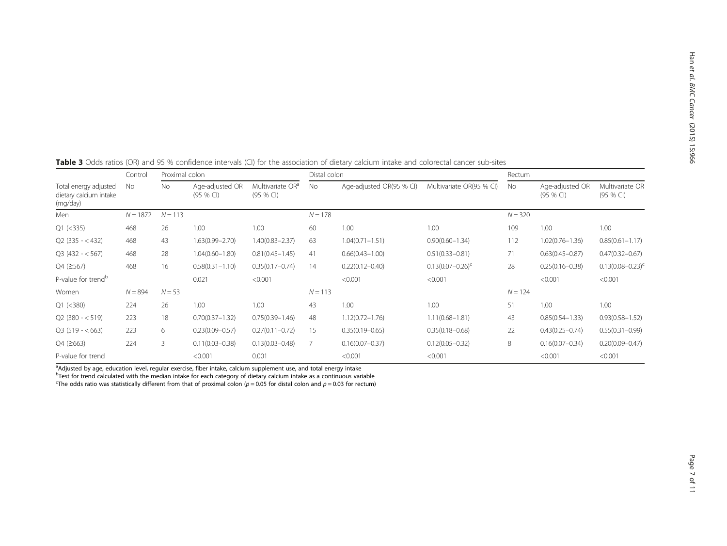| Total energy adjusted<br>dietary calcium intake<br>(mg/day) | Control<br>No | Proximal colon |                               |                                           | Distal colon |                          |                                  |           | Rectum                        |                              |  |
|-------------------------------------------------------------|---------------|----------------|-------------------------------|-------------------------------------------|--------------|--------------------------|----------------------------------|-----------|-------------------------------|------------------------------|--|
|                                                             |               | No.            | Age-adjusted OR<br>$(95%$ CI) | Multivariate OR <sup>a</sup><br>(95 % CI) | No.          | Age-adjusted OR(95 % CI) | Multivariate OR(95 % CI)         | No        | Age-adjusted OR<br>$(95%$ CI) | Multivariate OR<br>(95 % CI) |  |
| Men                                                         | $N = 1872$    | $N = 113$      |                               |                                           | $N = 178$    |                          |                                  | $N = 320$ |                               |                              |  |
| $Q1$ (<335)                                                 | 468           | 26             | 1.00                          | 1.00                                      | 60           | 1.00                     | 1.00                             | 109       | 1.00                          | 1.00                         |  |
| $Q2$ (335 - < 432)                                          | 468           | 43             | $1.63(0.99 - 2.70)$           | 1.40(0.83-2.37)                           | 63           | $1.04(0.71 - 1.51)$      | $0.90(0.60 - 1.34)$              | 112       | $1.02(0.76 - 1.36)$           | $0.85(0.61 - 1.17)$          |  |
| $Q3(432 - 567)$                                             | 468           | 28             | $1.04(0.60 - 1.80)$           | $0.81(0.45 - 1.45)$                       | 41           | $0.66(0.43 - 1.00)$      | $0.51(0.33 - 0.81)$              | 71        | $0.63(0.45 - 0.87)$           | $0.47(0.32 - 0.67)$          |  |
| $Q4$ ( $\geq 567$ )                                         | 468           | 16             | $0.58(0.31 - 1.10)$           | $0.35(0.17 - 0.74)$                       | 14           | $0.22(0.12 - 0.40)$      | $0.13(0.07 - 0.26)$ <sup>c</sup> | 28        | $0.25(0.16 - 0.38)$           | $0.13(0.08 - 0.23)^{c}$      |  |
| P-value for trend <sup>b</sup>                              |               |                | 0.021                         | < 0.001                                   |              | < 0.001                  | < 0.001                          |           | < 0.001                       | < 0.001                      |  |
| Women                                                       | $N = 894$     | $N = 53$       |                               |                                           | $N = 113$    |                          |                                  | $N = 124$ |                               |                              |  |
| Q1 (< 380)                                                  | 224           | 26             | 1.00                          | 1.00                                      | 43           | 1.00                     | 1.00                             | 51        | 1.00                          | 1.00                         |  |
| $Q2$ (380 - $<$ 519)                                        | 223           | 18             | $0.70(0.37 - 1.32)$           | $0.75(0.39 - 1.46)$                       | 48           | $1.12(0.72 - 1.76)$      | $1.11(0.68 - 1.81)$              | 43        | $0.85(0.54 - 1.33)$           | $0.93(0.58 - 1.52)$          |  |
| $Q3(519 - 663)$                                             | 223           | 6              | $0.23(0.09 - 0.57)$           | $0.27(0.11 - 0.72)$                       | 15           | $0.35(0.19 - 0.65)$      | $0.35(0.18 - 0.68)$              | 22        | $0.43(0.25 - 0.74)$           | $0.55(0.31 - 0.99)$          |  |
| $Q4$ ( $\geq 663$ )                                         | 224           | 3              | $0.11(0.03 - 0.38)$           | $0.13(0.03 - 0.48)$                       |              | $0.16(0.07 - 0.37)$      | $0.12(0.05 - 0.32)$              | 8         | $0.16(0.07 - 0.34)$           | $0.20(0.09 - 0.47)$          |  |
| P-value for trend                                           |               |                | < 0.001                       | 0.001                                     |              | < 0.001                  | < 0.001                          |           | < 0.001                       | < 0.001                      |  |

<span id="page-6-0"></span>Table 3 Odds ratios (OR) and 95 % confidence intervals (CI) for the association of dietary calcium intake and colorectal cancer sub-sites

<sup>a</sup>Adjusted by age, education level, regular exercise, fiber intake, calcium supplement use, and total energy intake<br><sup>b</sup>Test for trend calculated with the median intake for each category of dietary calcium intake as a cont

The odds ratio was statistically different from that of proximal colon  $(p = 0.05$  for distal colon and  $p = 0.03$  for rectum)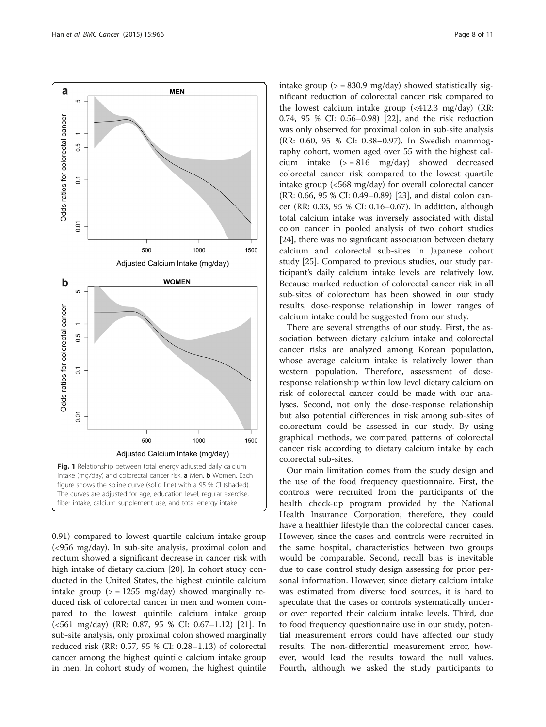<span id="page-7-0"></span>

0.91) compared to lowest quartile calcium intake group (<956 mg/day). In sub-site analysis, proximal colon and rectum showed a significant decrease in cancer risk with high intake of dietary calcium [\[20](#page-9-0)]. In cohort study conducted in the United States, the highest quintile calcium intake group  $(>= 1255 \text{ mg/day})$  showed marginally reduced risk of colorectal cancer in men and women compared to the lowest quintile calcium intake group (<561 mg/day) (RR: 0.87, 95 % CI: 0.67–1.12) [\[21\]](#page-9-0). In sub-site analysis, only proximal colon showed marginally reduced risk (RR: 0.57, 95 % CI: 0.28–1.13) of colorectal cancer among the highest quintile calcium intake group in men. In cohort study of women, the highest quintile intake group  $(>= 830.9 \text{ mg/day})$  showed statistically significant reduction of colorectal cancer risk compared to the lowest calcium intake group (<412.3 mg/day) (RR: 0.74, 95 % CI: 0.56–0.98) [\[22](#page-9-0)], and the risk reduction was only observed for proximal colon in sub-site analysis (RR: 0.60, 95 % CI: 0.38–0.97). In Swedish mammography cohort, women aged over 55 with the highest calcium intake  $(>= 816 \text{ mg/day})$  showed decreased colorectal cancer risk compared to the lowest quartile intake group (<568 mg/day) for overall colorectal cancer (RR: 0.66, 95 % CI: 0.49–0.89) [\[23\]](#page-9-0), and distal colon cancer (RR: 0.33, 95 % CI: 0.16–0.67). In addition, although total calcium intake was inversely associated with distal colon cancer in pooled analysis of two cohort studies [[24\]](#page-9-0), there was no significant association between dietary calcium and colorectal sub-sites in Japanese cohort study [[25\]](#page-9-0). Compared to previous studies, our study participant's daily calcium intake levels are relatively low. Because marked reduction of colorectal cancer risk in all sub-sites of colorectum has been showed in our study results, dose-response relationship in lower ranges of calcium intake could be suggested from our study.

There are several strengths of our study. First, the association between dietary calcium intake and colorectal cancer risks are analyzed among Korean population, whose average calcium intake is relatively lower than western population. Therefore, assessment of doseresponse relationship within low level dietary calcium on risk of colorectal cancer could be made with our analyses. Second, not only the dose-response relationship but also potential differences in risk among sub-sites of colorectum could be assessed in our study. By using graphical methods, we compared patterns of colorectal cancer risk according to dietary calcium intake by each colorectal sub-sites.

Our main limitation comes from the study design and the use of the food frequency questionnaire. First, the controls were recruited from the participants of the health check-up program provided by the National Health Insurance Corporation; therefore, they could have a healthier lifestyle than the colorectal cancer cases. However, since the cases and controls were recruited in the same hospital, characteristics between two groups would be comparable. Second, recall bias is inevitable due to case control study design assessing for prior personal information. However, since dietary calcium intake was estimated from diverse food sources, it is hard to speculate that the cases or controls systematically underor over reported their calcium intake levels. Third, due to food frequency questionnaire use in our study, potential measurement errors could have affected our study results. The non-differential measurement error, however, would lead the results toward the null values. Fourth, although we asked the study participants to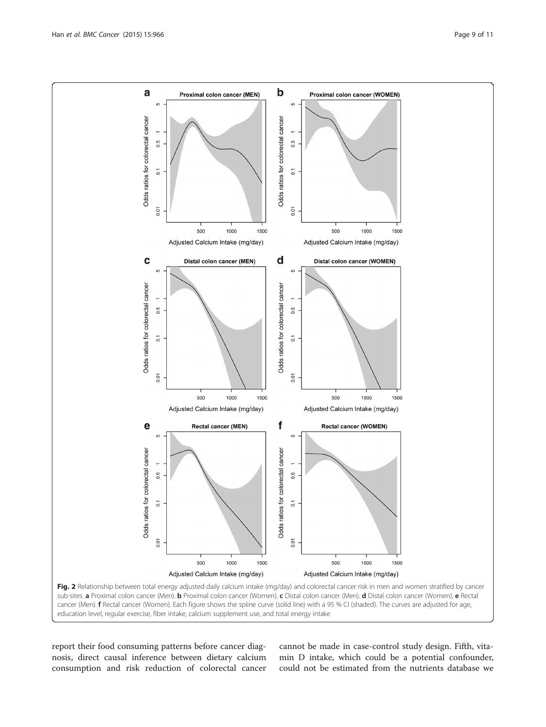<span id="page-8-0"></span>

education level, regular exercise, fiber intake, calcium supplement use, and total energy intake

report their food consuming patterns before cancer diagnosis, direct causal inference between dietary calcium consumption and risk reduction of colorectal cancer

cannot be made in case-control study design. Fifth, vitamin D intake, which could be a potential confounder, could not be estimated from the nutrients database we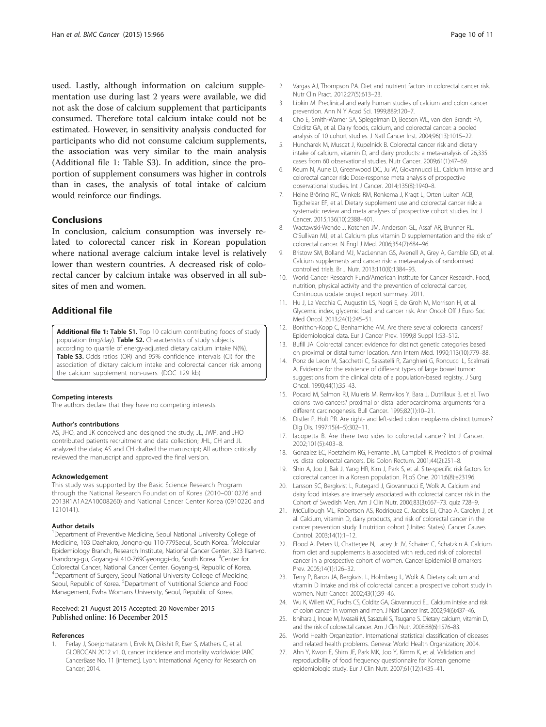<span id="page-9-0"></span>used. Lastly, although information on calcium supplementation use during last 2 years were available, we did not ask the dose of calcium supplement that participants consumed. Therefore total calcium intake could not be estimated. However, in sensitivity analysis conducted for participants who did not consume calcium supplements, the association was very similar to the main analysis (Additional file 1: Table S3). In addition, since the proportion of supplement consumers was higher in controls than in cases, the analysis of total intake of calcium would reinforce our findings.

#### Conclusions

In conclusion, calcium consumption was inversely related to colorectal cancer risk in Korean population where national average calcium intake level is relatively lower than western countries. A decreased risk of colorectal cancer by calcium intake was observed in all subsites of men and women.

#### Additional file

[Additional file 1:](dx.doi.org/10.1186/s12885-015-1963-9) Table S1. Top 10 calcium contributing foods of study population (mg/day). Table S2. Characteristics of study subjects according to quartile of energy-adjusted dietary calcium intake N(%). Table S3. Odds ratios (OR) and 95% confidence intervals (CI) for the association of dietary calcium intake and colorectal cancer risk among the calcium supplement non-users. (DOC 129 kb)

#### Competing interests

The authors declare that they have no competing interests.

#### Author's contributions

AS, JHO, and JK conceived and designed the study; JL, JWP, and JHO contributed patients recruitment and data collection; JHL, CH and JL analyzed the data; AS and CH drafted the manuscript; All authors critically reviewed the manuscript and approved the final version.

#### Acknowledgement

This study was supported by the Basic Science Research Program through the National Research Foundation of Korea (2010–0010276 and 2013R1A1A2A10008260) and National Cancer Center Korea (0910220 and 1210141).

#### Author details

<sup>1</sup>Department of Preventive Medicine, Seoul National University College of Medicine, 103 Daehakro, Jongno-gu 110-779Seoul, South Korea. <sup>2</sup>Molecular Epidemiology Branch, Research Institute, National Cancer Center, 323 Ilsan-ro, Ilsandong-gu, Goyang-si 410-769Gyeonggi-do, South Korea. <sup>3</sup>Center for Colorectal Cancer, National Cancer Center, Goyang-si, Republic of Korea. 4 Department of Surgery, Seoul National University College of Medicine, Seoul, Republic of Korea. <sup>5</sup>Department of Nutritional Science and Food Management, Ewha Womans University, Seoul, Republic of Korea.

#### Received: 21 August 2015 Accepted: 20 November 2015 Published online: 16 December 2015

#### References

Ferlay J, Soerjomataram I, Ervik M, Dikshit R, Eser S, Mathers C, et al. GLOBOCAN 2012 v1. 0, cancer incidence and mortality worldwide: IARC CancerBase No. 11 [internet]. Lyon: International Agency for Research on Cancer; 2014.

- 2. Vargas AJ, Thompson PA. Diet and nutrient factors in colorectal cancer risk. Nutr Clin Pract. 2012;27(5):613–23.
- 3. Lipkin M. Preclinical and early human studies of calcium and colon cancer prevention. Ann N Y Acad Sci. 1999;889:120–7.
- 4. Cho E, Smith-Warner SA, Spiegelman D, Beeson WL, van den Brandt PA, Colditz GA, et al. Dairy foods, calcium, and colorectal cancer: a pooled analysis of 10 cohort studies. J Natl Cancer Inst. 2004;96(13):1015–22.
- 5. Huncharek M, Muscat J, Kupelnick B. Colorectal cancer risk and dietary intake of calcium, vitamin D, and dairy products: a meta-analysis of 26,335 cases from 60 observational studies. Nutr Cancer. 2009;61(1):47–69.
- 6. Keum N, Aune D, Greenwood DC, Ju W, Giovannucci EL. Calcium intake and colorectal cancer risk: Dose-response meta analysis of prospective observational studies. Int J Cancer. 2014;135(8):1940–8.
- 7. Heine Bröring RC, Winkels RM, Renkema J, Kragt L, Orten Luiten ACB, Tigchelaar EF, et al. Dietary supplement use and colorectal cancer risk: a systematic review and meta analyses of prospective cohort studies. Int J Cancer. 2015;136(10):2388–401.
- Wactawski-Wende J, Kotchen JM, Anderson GL, Assaf AR, Brunner RL, O'Sullivan MJ, et al. Calcium plus vitamin D supplementation and the risk of colorectal cancer. N Engl J Med. 2006;354(7):684–96.
- 9. Bristow SM, Bolland MJ, MacLennan GS, Avenell A, Grey A, Gamble GD, et al. Calcium supplements and cancer risk: a meta-analysis of randomised controlled trials. Br J Nutr. 2013;110(8):1384–93.
- 10. World Cancer Research Fund/American Institute for Cancer Research. Food, nutrition, physical activity and the prevention of colorectal cancer, Continuous update project report summary. 2011.
- 11. Hu J, La Vecchia C, Augustin LS, Negri E, de Groh M, Morrison H, et al. Glycemic index, glycemic load and cancer risk. Ann Oncol: Off J Euro Soc Med Oncol. 2013;24(1):245–51.
- 12. Bonithon-Kopp C, Benhamiche AM. Are there several colorectal cancers? Epidemiological data. Eur J Cancer Prev. 1999;8 Suppl 1:S3–S12.
- 13. Bufill JA. Colorectal cancer: evidence for distinct genetic categories based on proximal or distal tumor location. Ann Intern Med. 1990;113(10):779–88.
- 14. Ponz de Leon M, Sacchetti C, Sassatelli R, Zanghieri G, Roncucci L, Scalmati A. Evidence for the existence of different types of large bowel tumor: suggestions from the clinical data of a population-based registry. J Surg Oncol. 1990;44(1):35–43.
- 15. Pocard M, Salmon RJ, Muleris M, Remvikos Y, Bara J, Dutrillaux B, et al. Two colons–two cancers? proximal or distal adenocarcinoma: arguments for a different carcinogenesis. Bull Cancer. 1995;82(1):10–21.
- 16. Distler P, Holt PR. Are right- and left-sided colon neoplasms distinct tumors? Dig Dis. 1997;15(4–5):302–11.
- 17. Iacopetta B. Are there two sides to colorectal cancer? Int J Cancer. 2002;101(5):403–8.
- 18. Gonzalez EC, Roetzheim RG, Ferrante JM, Campbell R. Predictors of proximal vs. distal colorectal cancers. Dis Colon Rectum. 2001;44(2):251–8.
- 19. Shin A, Joo J, Bak J, Yang HR, Kim J, Park S, et al. Site-specific risk factors for colorectal cancer in a Korean population. PLoS One. 2011;6(8):e23196.
- 20. Larsson SC, Bergkvist L, Rutegard J, Giovannucci E, Wolk A. Calcium and dairy food intakes are inversely associated with colorectal cancer risk in the Cohort of Swedish Men. Am J Clin Nutr. 2006;83(3):667–73. quiz 728–9.
- 21. McCullough ML, Robertson AS, Rodriguez C, Jacobs EJ, Chao A, Carolyn J, et al. Calcium, vitamin D, dairy products, and risk of colorectal cancer in the cancer prevention study II nutrition cohort (United States). Cancer Causes Control. 2003;14(1):1–12.
- 22. Flood A, Peters U, Chatterjee N, Lacey Jr JV, Schairer C, Schatzkin A. Calcium from diet and supplements is associated with reduced risk of colorectal cancer in a prospective cohort of women. Cancer Epidemiol Biomarkers Prev. 2005;14(1):126–32.
- 23. Terry P, Baron JA, Bergkvist L, Holmberg L, Wolk A. Dietary calcium and vitamin D intake and risk of colorectal cancer: a prospective cohort study in women. Nutr Cancer. 2002;43(1):39–46.
- 24. Wu K, Willett WC, Fuchs CS, Colditz GA, Giovannucci EL. Calcium intake and risk of colon cancer in women and men. J Natl Cancer Inst. 2002;94(6):437–46.
- 25. Ishihara J, Inoue M, Iwasaki M, Sasazuki S, Tsugane S. Dietary calcium, vitamin D, and the risk of colorectal cancer. Am J Clin Nutr. 2008;88(6):1576–83.
- 26. World Health Organization. International statistical classification of diseases and related health problems. Geneva: World Health Organization; 2004.
- 27. Ahn Y, Kwon E, Shim JE, Park MK, Joo Y, Kimm K, et al. Validation and reproducibility of food frequency questionnaire for Korean genome epidemiologic study. Eur J Clin Nutr. 2007;61(12):1435–41.